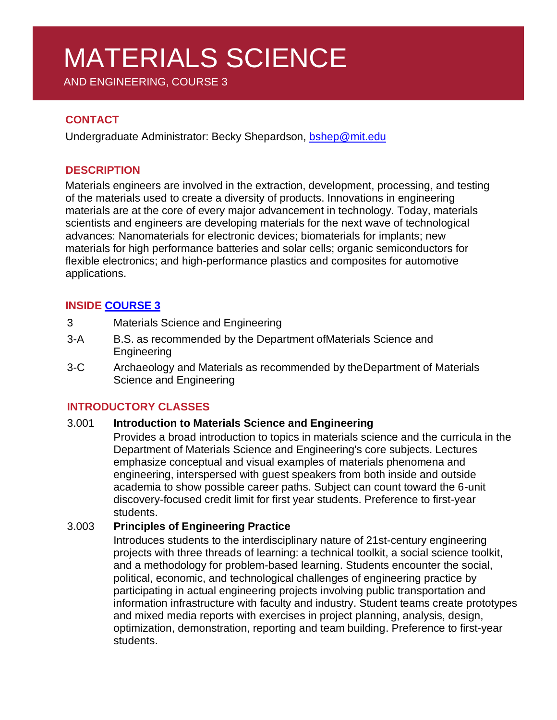# MATERIALS SCIENCE

AND ENGINEERING, COURSE 3

# **CONTACT**

Undergraduate Administrator: Becky Shepardson, [bshep@mit.edu](mailto:bshep@mit.edu)

## **DESCRIPTION**

Materials engineers are involved in the extraction, development, processing, and testing of the materials used to create a diversity of products. Innovations in engineering materials are at the core of every major advancement in technology. Today, materials scientists and engineers are developing materials for the next wave of technological advances: Nanomaterials for electronic devices; biomaterials for implants; new materials for high performance batteries and solar cells; organic semiconductors for flexible electronics; and high-performance plastics and composites for automotive applications.

# **INSIDE [COURSE](https://dmse.mit.edu/undergraduate/programs) 3**

- 3 Materials Science and Engineering
- 3-A B.S. as recommended by the Department ofMaterials Science and Engineering
- 3-C Archaeology and Materials as recommended by theDepartment of Materials Science and Engineering

#### **INTRODUCTORY CLASSES**

#### 3.001 **Introduction to Materials Science and Engineering**

Provides a broad introduction to topics in materials science and the curricula in the Department of Materials Science and Engineering's core subjects. Lectures emphasize conceptual and visual examples of materials phenomena and engineering, interspersed with guest speakers from both inside and outside academia to show possible career paths. Subject can count toward the 6-unit discovery-focused credit limit for first year students. Preference to first-year students.

#### 3.003 **Principles of Engineering Practice**

Introduces students to the interdisciplinary nature of 21st-century engineering projects with three threads of learning: a technical toolkit, a social science toolkit, and a methodology for problem-based learning. Students encounter the social, political, economic, and technological challenges of engineering practice by participating in actual engineering projects involving public transportation and information infrastructure with faculty and industry. Student teams create prototypes and mixed media reports with exercises in project planning, analysis, design, optimization, demonstration, reporting and team building. Preference to first-year students.